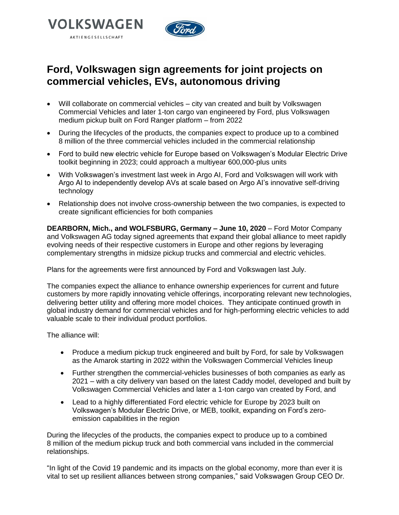



# **Ford, Volkswagen sign agreements for joint projects on commercial vehicles, EVs, autonomous driving**

- Will collaborate on commercial vehicles city van created and built by Volkswagen Commercial Vehicles and later 1-ton cargo van engineered by Ford, plus Volkswagen medium pickup built on Ford Ranger platform – from 2022
- During the lifecycles of the products, the companies expect to produce up to a combined 8 million of the three commercial vehicles included in the commercial relationship
- Ford to build new electric vehicle for Europe based on Volkswagen's Modular Electric Drive toolkit beginning in 2023; could approach a multiyear 600,000-plus units
- With Volkswagen's investment last week in Argo AI, Ford and Volkswagen will work with Argo AI to independently develop AVs at scale based on Argo AI's innovative self-driving technology
- Relationship does not involve cross-ownership between the two companies, is expected to create significant efficiencies for both companies

**DEARBORN, Mich., and WOLFSBURG, Germany – June 10, 2020** – Ford Motor Company and Volkswagen AG today signed agreements that expand their global alliance to meet rapidly evolving needs of their respective customers in Europe and other regions by leveraging complementary strengths in midsize pickup trucks and commercial and electric vehicles.

Plans for the agreements were first announced by Ford and Volkswagen last July.

The companies expect the alliance to enhance ownership experiences for current and future customers by more rapidly innovating vehicle offerings, incorporating relevant new technologies, delivering better utility and offering more model choices. They anticipate continued growth in global industry demand for commercial vehicles and for high-performing electric vehicles to add valuable scale to their individual product portfolios.

The alliance will:

- Produce a medium pickup truck engineered and built by Ford, for sale by Volkswagen as the Amarok starting in 2022 within the Volkswagen Commercial Vehicles lineup
- Further strengthen the commercial-vehicles businesses of both companies as early as 2021 – with a city delivery van based on the latest Caddy model, developed and built by Volkswagen Commercial Vehicles and later a 1-ton cargo van created by Ford, and
- Lead to a highly differentiated Ford electric vehicle for Europe by 2023 built on Volkswagen's Modular Electric Drive, or MEB, toolkit, expanding on Ford's zeroemission capabilities in the region

During the lifecycles of the products, the companies expect to produce up to a combined 8 million of the medium pickup truck and both commercial vans included in the commercial relationships.

"In light of the Covid 19 pandemic and its impacts on the global economy, more than ever it is vital to set up resilient alliances between strong companies," said Volkswagen Group CEO Dr.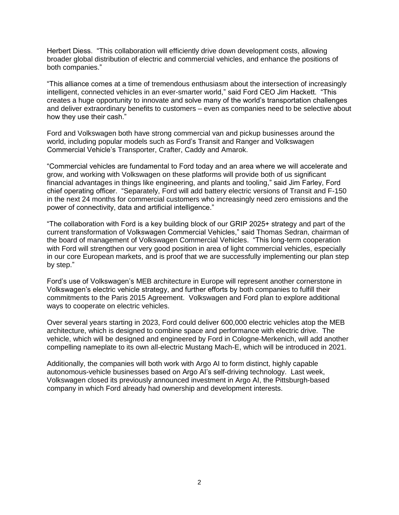Herbert Diess. "This collaboration will efficiently drive down development costs, allowing broader global distribution of electric and commercial vehicles, and enhance the positions of both companies."

"This alliance comes at a time of tremendous enthusiasm about the intersection of increasingly intelligent, connected vehicles in an ever-smarter world," said Ford CEO Jim Hackett. "This creates a huge opportunity to innovate and solve many of the world's transportation challenges and deliver extraordinary benefits to customers – even as companies need to be selective about how they use their cash."

Ford and Volkswagen both have strong commercial van and pickup businesses around the world, including popular models such as Ford's Transit and Ranger and Volkswagen Commercial Vehicle's Transporter, Crafter, Caddy and Amarok.

"Commercial vehicles are fundamental to Ford today and an area where we will accelerate and grow, and working with Volkswagen on these platforms will provide both of us significant financial advantages in things like engineering, and plants and tooling," said Jim Farley, Ford chief operating officer. "Separately, Ford will add battery electric versions of Transit and F-150 in the next 24 months for commercial customers who increasingly need zero emissions and the power of connectivity, data and artificial intelligence."

"The collaboration with Ford is a key building block of our GRIP 2025+ strategy and part of the current transformation of Volkswagen Commercial Vehicles," said Thomas Sedran, chairman of the board of management of Volkswagen Commercial Vehicles. "This long-term cooperation with Ford will strengthen our very good position in area of light commercial vehicles, especially in our core European markets, and is proof that we are successfully implementing our plan step by step."

Ford's use of Volkswagen's MEB architecture in Europe will represent another cornerstone in Volkswagen's electric vehicle strategy, and further efforts by both companies to fulfill their commitments to the Paris 2015 Agreement. Volkswagen and Ford plan to explore additional ways to cooperate on electric vehicles.

Over several years starting in 2023, Ford could deliver 600,000 electric vehicles atop the MEB architecture, which is designed to combine space and performance with electric drive. The vehicle, which will be designed and engineered by Ford in Cologne-Merkenich, will add another compelling nameplate to its own all-electric Mustang Mach-E, which will be introduced in 2021.

Additionally, the companies will both work with Argo AI to form distinct, highly capable autonomous-vehicle businesses based on Argo AI's self-driving technology. Last week, Volkswagen closed its previously announced investment in Argo AI, the Pittsburgh-based company in which Ford already had ownership and development interests.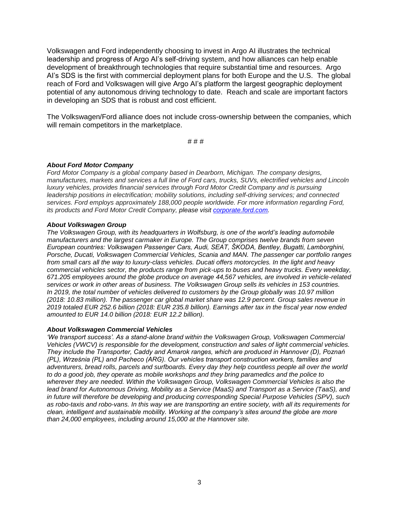Volkswagen and Ford independently choosing to invest in Argo AI illustrates the technical leadership and progress of Argo AI's self-driving system, and how alliances can help enable development of breakthrough technologies that require substantial time and resources. Argo AI's SDS is the first with commercial deployment plans for both Europe and the U.S. The global reach of Ford and Volkswagen will give Argo AI's platform the largest geographic deployment potential of any autonomous driving technology to date. Reach and scale are important factors in developing an SDS that is robust and cost efficient.

The Volkswagen/Ford alliance does not include cross-ownership between the companies, which will remain competitors in the marketplace.

# # #

### *About Ford Motor Company*

*Ford Motor Company is a global company based in Dearborn, Michigan. The company designs, manufactures, markets and services a full line of Ford cars, trucks, SUVs, electrified vehicles and Lincoln luxury vehicles, provides financial services through Ford Motor Credit Company and is pursuing leadership positions in electrification; mobility solutions, including self-driving services; and connected services. Ford employs approximately 188,000 people worldwide. For more information regarding Ford, its products and Ford Motor Credit Company, please visit [corporate.ford.com.](https://corporate.ford.com/homepage.html)*

#### *About Volkswagen Group*

*The Volkswagen Group, with its headquarters in Wolfsburg, is one of the world's leading automobile manufacturers and the largest carmaker in Europe. The Group comprises twelve brands from seven European countries: Volkswagen Passenger Cars, Audi, SEAT, ŠKODA, Bentley, Bugatti, Lamborghini, Porsche, Ducati, Volkswagen Commercial Vehicles, Scania and MAN. The passenger car portfolio ranges from small cars all the way to luxury-class vehicles. Ducati offers motorcycles. In the light and heavy commercial vehicles sector, the products range from pick-ups to buses and heavy trucks. Every weekday, 671.205 employees around the globe produce on average 44,567 vehicles, are involved in vehicle-related services or work in other areas of business. The Volkswagen Group sells its vehicles in 153 countries. In 2019, the total number of vehicles delivered to customers by the Group globally was 10.97 million (2018: 10.83 million). The passenger car global market share was 12.9 percent. Group sales revenue in 2019 totaled EUR 252.6 billion (2018: EUR 235.8 billion). Earnings after tax in the fiscal year now ended amounted to EUR 14.0 billion (2018: EUR 12.2 billion).*

#### *About Volkswagen Commercial Vehicles*

*'We transport success'. As a stand-alone brand within the Volkswagen Group, Volkswagen Commercial Vehicles (VWCV) is responsible for the development, construction and sales of light commercial vehicles. They include the Transporter, Caddy and Amarok ranges, which are produced in Hannover (D), Poznań (PL), Września (PL) and Pacheco (ARG). Our vehicles transport construction workers, families and adventurers, bread rolls, parcels and surfboards. Every day they help countless people all over the world to do a good job, they operate as mobile workshops and they bring paramedics and the police to wherever they are needed. Within the Volkswagen Group, Volkswagen Commercial Vehicles is also the lead brand for Autonomous Driving, Mobility as a Service (MaaS) and Transport as a Service (TaaS), and in future will therefore be developing and producing corresponding Special Purpose Vehicles (SPV), such as robo-taxis and robo-vans. In this way we are transporting an entire society, with all its requirements for clean, intelligent and sustainable mobility. Working at the company's sites around the globe are more than 24,000 employees, including around 15,000 at the Hannover site.*